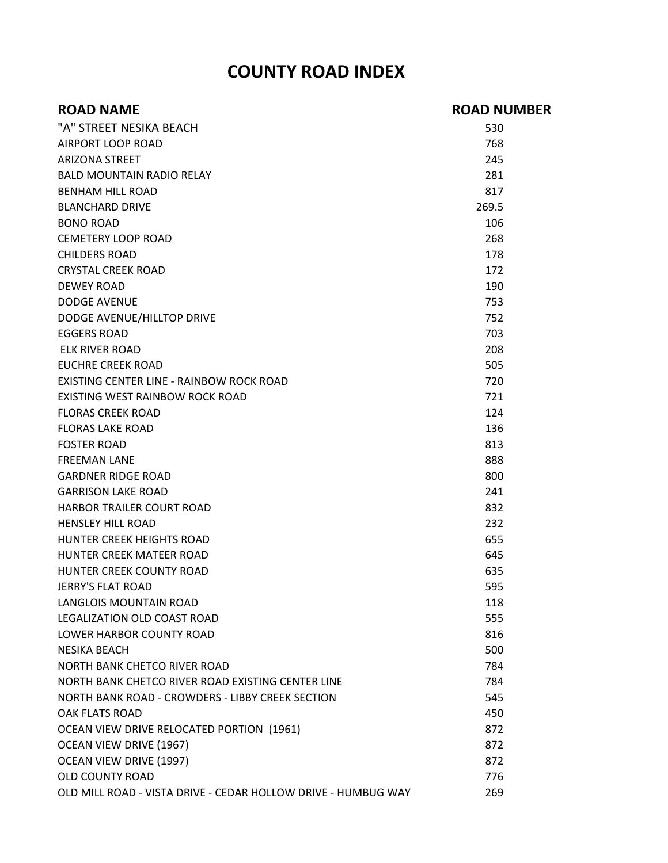## **COUNTY ROAD INDEX**

| <b>ROAD NAME</b>                                              | <b>ROAD NUMBER</b> |
|---------------------------------------------------------------|--------------------|
| "A" STREET NESIKA BEACH                                       | 530                |
| AIRPORT LOOP ROAD                                             | 768                |
| <b>ARIZONA STREET</b>                                         | 245                |
| <b>BALD MOUNTAIN RADIO RELAY</b>                              | 281                |
| <b>BENHAM HILL ROAD</b>                                       | 817                |
| <b>BLANCHARD DRIVE</b>                                        | 269.5              |
| <b>BONO ROAD</b>                                              | 106                |
| <b>CEMETERY LOOP ROAD</b>                                     | 268                |
| <b>CHILDERS ROAD</b>                                          | 178                |
| <b>CRYSTAL CREEK ROAD</b>                                     | 172                |
| <b>DEWEY ROAD</b>                                             | 190                |
| <b>DODGE AVENUE</b>                                           | 753                |
| DODGE AVENUE/HILLTOP DRIVE                                    | 752                |
| <b>EGGERS ROAD</b>                                            | 703                |
| ELK RIVER ROAD                                                | 208                |
| <b>EUCHRE CREEK ROAD</b>                                      | 505                |
| EXISTING CENTER LINE - RAINBOW ROCK ROAD                      | 720                |
| EXISTING WEST RAINBOW ROCK ROAD                               | 721                |
| <b>FLORAS CREEK ROAD</b>                                      | 124                |
| <b>FLORAS LAKE ROAD</b>                                       | 136                |
| <b>FOSTER ROAD</b>                                            | 813                |
| <b>FREEMAN LANE</b>                                           | 888                |
| <b>GARDNER RIDGE ROAD</b>                                     | 800                |
| <b>GARRISON LAKE ROAD</b>                                     | 241                |
| <b>HARBOR TRAILER COURT ROAD</b>                              | 832                |
| <b>HENSLEY HILL ROAD</b>                                      | 232                |
| HUNTER CREEK HEIGHTS ROAD                                     | 655                |
| HUNTER CREEK MATEER ROAD                                      | 645                |
| <b>HUNTER CREEK COUNTY ROAD</b>                               | 635                |
| JERRY'S FLAT ROAD                                             | 595                |
| LANGLOIS MOUNTAIN ROAD                                        | 118                |
| LEGALIZATION OLD COAST ROAD                                   | 555                |
| LOWER HARBOR COUNTY ROAD                                      | 816                |
| <b>NESIKA BEACH</b>                                           | 500                |
| NORTH BANK CHETCO RIVER ROAD                                  | 784                |
| NORTH BANK CHETCO RIVER ROAD EXISTING CENTER LINE             | 784                |
| NORTH BANK ROAD - CROWDERS - LIBBY CREEK SECTION              | 545                |
| <b>OAK FLATS ROAD</b>                                         | 450                |
| OCEAN VIEW DRIVE RELOCATED PORTION (1961)                     | 872                |
| OCEAN VIEW DRIVE (1967)                                       | 872                |
| OCEAN VIEW DRIVE (1997)                                       | 872                |
| <b>OLD COUNTY ROAD</b>                                        | 776                |
| OLD MILL ROAD - VISTA DRIVE - CEDAR HOLLOW DRIVE - HUMBUG WAY | 269                |